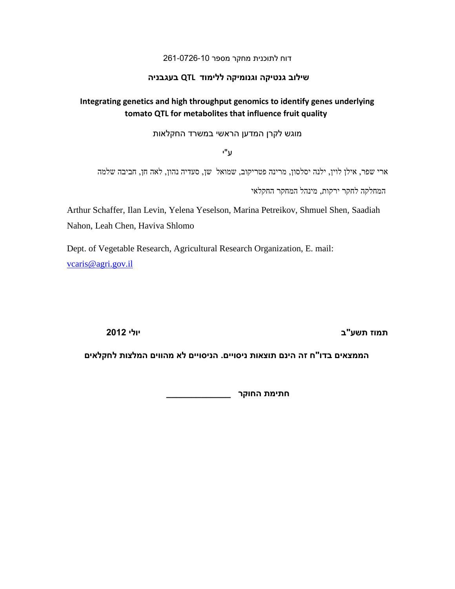### דוח לתוכנית מחקר מספר 162-6216-26

### **שילוב גנטיקה וגנומיקה ללימוד QTL בעגבניה**

# **Integrating genetics and high throughput genomics to identify genes underlying tomato QTL for metabolites that influence fruit quality**

מוגש לקרן המדען הראשי במשרד החקלאות

ע"י

ארי שפר, אילן לוין, ילנה יסלסון, מרינה פטריקוב, שמואל שן, סעדיה נהון, לאה חן, חביבה שלמה

המחלקה לחקר ירקות, מינהל המחקר החקלאי

Arthur Schaffer, Ilan Levin, Yelena Yeselson, Marina Petreikov, Shmuel Shen, Saadiah Nahon, Leah Chen, Haviva Shlomo

Dept. of Vegetable Research, Agricultural Research Organization, E. mail: [vcaris@agri.gov.il](mailto:vcaris@agri.gov.il)

**תמוז תשע"ב יולי 2012**

**הממצאים בדו"ח זה הינם תוצאות ניסויים. הניסויים לא מהווים המלצות לחקלאים**

**חתימת החוקר \_\_\_\_\_\_\_\_\_\_\_\_\_**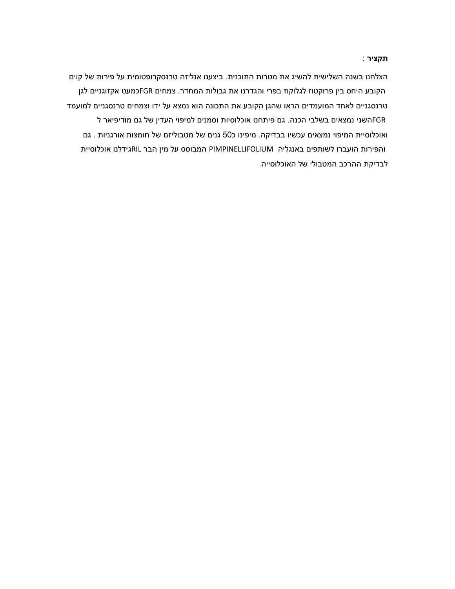**תקציר** :

הצלחנו בשנה השלישית להשיג את מטרות התוכנית. ביצענו אנליזה טרנסקרופטומית על פירות של קוים הקובע היחס בין פרוקטוז לגלוקוז בפרי והגדרנו את גבולות המחדר. צמחים FGRכמעט אקזוגניים לגן טרנסגניים לאחד המועמדים הראו שהגן הקובע את התכונה הוא נמצא על ידו וצמחים טרנסגניים למועמד FGRהשני נמצאים בשלבי הכנה. גם פיתחנו אוכלוסיות וסמנים למיפוי העדין של גם מודיפיאר ל ואוכלוסיית המיפוי נמצאים עכשיו בבדיקה. מיפינו כ06 גנים של מטבוליזם של חומצות אורגניות . גם והפירות הועברו לשותפים באנגליה PIMPINELLIFOLIUM המבוסס על מין הבר RILגידלנו אוכלוסיית לבדיקת ההרכב המטבולי של האוכלוסייה.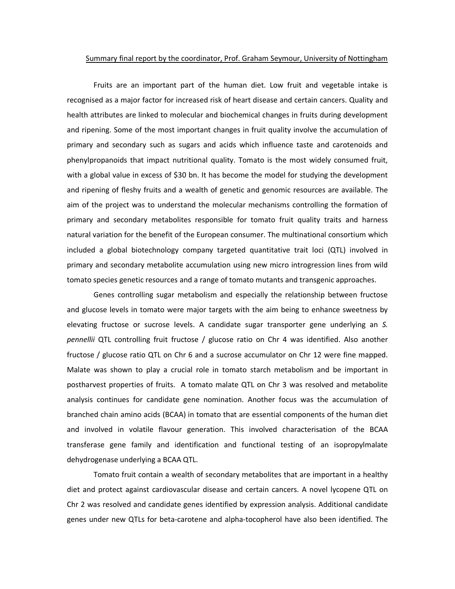#### Summary final report by the coordinator, Prof. Graham Seymour, University of Nottingham

Fruits are an important part of the human diet. Low fruit and vegetable intake is recognised as a major factor for increased risk of heart disease and certain cancers. Quality and health attributes are linked to molecular and biochemical changes in fruits during development and ripening. Some of the most important changes in fruit quality involve the accumulation of primary and secondary such as sugars and acids which influence taste and carotenoids and phenylpropanoids that impact nutritional quality. Tomato is the most widely consumed fruit, with a global value in excess of \$30 bn. It has become the model for studying the development and ripening of fleshy fruits and a wealth of genetic and genomic resources are available. The aim of the project was to understand the molecular mechanisms controlling the formation of primary and secondary metabolites responsible for tomato fruit quality traits and harness natural variation for the benefit of the European consumer. The multinational consortium which included a global biotechnology company targeted quantitative trait loci (QTL) involved in primary and secondary metabolite accumulation using new micro introgression lines from wild tomato species genetic resources and a range of tomato mutants and transgenic approaches.

Genes controlling sugar metabolism and especially the relationship between fructose and glucose levels in tomato were major targets with the aim being to enhance sweetness by elevating fructose or sucrose levels. A candidate sugar transporter gene underlying an *S. pennellii* QTL controlling fruit fructose / glucose ratio on Chr 4 was identified. Also another fructose / glucose ratio QTL on Chr 6 and a sucrose accumulator on Chr 12 were fine mapped. Malate was shown to play a crucial role in tomato starch metabolism and be important in postharvest properties of fruits. A tomato malate QTL on Chr 3 was resolved and metabolite analysis continues for candidate gene nomination. Another focus was the accumulation of branched chain amino acids (BCAA) in tomato that are essential components of the human diet and involved in volatile flavour generation. This involved characterisation of the BCAA transferase gene family and identification and functional testing of an isopropylmalate dehydrogenase underlying a BCAA QTL.

Tomato fruit contain a wealth of secondary metabolites that are important in a healthy diet and protect against cardiovascular disease and certain cancers. A novel lycopene QTL on Chr 2 was resolved and candidate genes identified by expression analysis. Additional candidate genes under new QTLs for beta-carotene and alpha-tocopherol have also been identified. The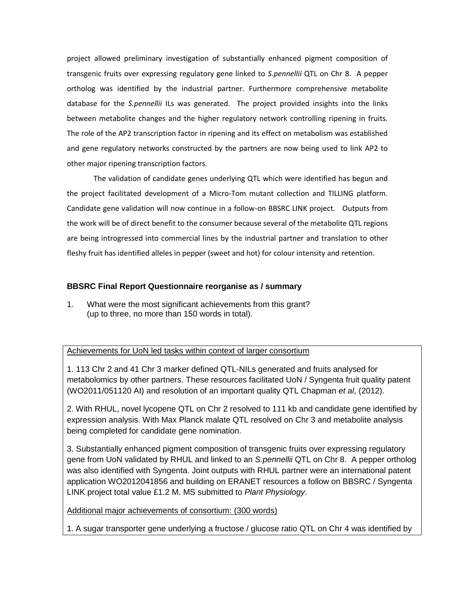project allowed preliminary investigation of substantially enhanced pigment composition of transgenic fruits over expressing regulatory gene linked to *S.pennellii* QTL on Chr 8. A pepper ortholog was identified by the industrial partner. Furthermore comprehensive metabolite database for the *S.pennellii* ILs was generated. The project provided insights into the links between metabolite changes and the higher regulatory network controlling ripening in fruits. The role of the AP2 transcription factor in ripening and its effect on metabolism was established and gene regulatory networks constructed by the partners are now being used to link AP2 to other major ripening transcription factors.

The validation of candidate genes underlying QTL which were identified has begun and the project facilitated development of a Micro-Tom mutant collection and TILLING platform. Candidate gene validation will now continue in a follow-on BBSRC LINK project. Outputs from the work will be of direct benefit to the consumer because several of the metabolite QTL regions are being introgressed into commercial lines by the industrial partner and translation to other fleshy fruit has identified alleles in pepper (sweet and hot) for colour intensity and retention.

## **BBSRC Final Report Questionnaire reorganise as / summary**

1. What were the most significant achievements from this grant? (up to three, no more than 150 words in total).

### Achievements for UoN led tasks within context of larger consortium

1. 113 Chr 2 and 41 Chr 3 marker defined QTL-NILs generated and fruits analysed for metabolomics by other partners. These resources facilitated UoN / Syngenta fruit quality patent (WO2011/051120 AI) and resolution of an important quality QTL Chapman *et al*, (2012).

2. With RHUL, novel lycopene QTL on Chr 2 resolved to 111 kb and candidate gene identified by expression analysis. With Max Planck malate QTL resolved on Chr 3 and metabolite analysis being completed for candidate gene nomination.

3. Substantially enhanced pigment composition of transgenic fruits over expressing regulatory gene from UoN validated by RHUL and linked to an *S.pennellii* QTL on Chr 8. A pepper ortholog was also identified with Syngenta. Joint outputs with RHUL partner were an international patent application WO2012041856 and building on ERANET resources a follow on BBSRC / Syngenta LINK project total value £1.2 M. MS submitted to *Plant Physiology*.

Additional major achievements of consortium: (300 words)

1. A sugar transporter gene underlying a fructose / glucose ratio QTL on Chr 4 was identified by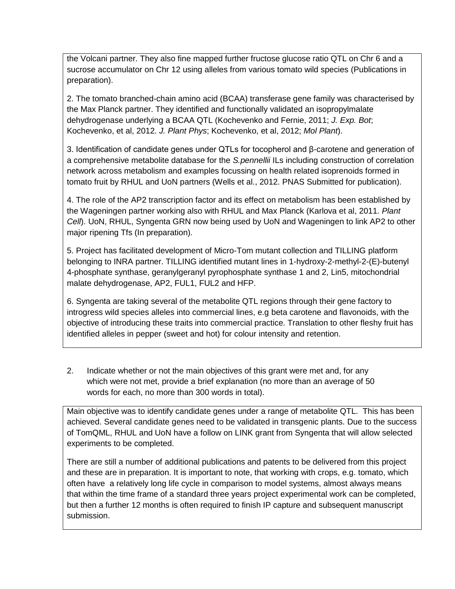the Volcani partner. They also fine mapped further fructose glucose ratio QTL on Chr 6 and a sucrose accumulator on Chr 12 using alleles from various tomato wild species (Publications in preparation).

2. The tomato branched-chain amino acid (BCAA) transferase gene family was characterised by the Max Planck partner. They identified and functionally validated an isopropylmalate dehydrogenase underlying a BCAA QTL (Kochevenko and Fernie, 2011; *J. Exp. Bot*; Kochevenko, et al, 2012. *J. Plant Phys*; Kochevenko, et al, 2012; *Mol Plant*).

3. Identification of candidate genes under QTLs for tocopherol and β-carotene and generation of a comprehensive metabolite database for the *S.pennellii* ILs including construction of correlation network across metabolism and examples focussing on health related isoprenoids formed in tomato fruit by RHUL and UoN partners (Wells et al., 2012. PNAS Submitted for publication).

4. The role of the AP2 transcription factor and its effect on metabolism has been established by the Wageningen partner working also with RHUL and Max Planck (Karlova et al, 2011. *Plant Cell*). UoN, RHUL, Syngenta GRN now being used by UoN and Wageningen to link AP2 to other major ripening Tfs (In preparation).

5. Project has facilitated development of Micro-Tom mutant collection and TILLING platform belonging to INRA partner. TILLING identified mutant lines in 1-hydroxy-2-methyl-2-(E)-butenyl 4-phosphate synthase, geranylgeranyl pyrophosphate synthase 1 and 2, Lin5, mitochondrial malate dehydrogenase, AP2, FUL1, FUL2 and HFP.

6. Syngenta are taking several of the metabolite QTL regions through their gene factory to introgress wild species alleles into commercial lines, e.g beta carotene and flavonoids, with the objective of introducing these traits into commercial practice. Translation to other fleshy fruit has identified alleles in pepper (sweet and hot) for colour intensity and retention.

2. Indicate whether or not the main objectives of this grant were met and, for any which were not met, provide a brief explanation (no more than an average of 50 words for each, no more than 300 words in total).

Main objective was to identify candidate genes under a range of metabolite QTL. This has been achieved. Several candidate genes need to be validated in transgenic plants. Due to the success of TomQML, RHUL and UoN have a follow on LINK grant from Syngenta that will allow selected experiments to be completed.

There are still a number of additional publications and patents to be delivered from this project and these are in preparation. It is important to note, that working with crops, e.g. tomato, which often have a relatively long life cycle in comparison to model systems, almost always means that within the time frame of a standard three years project experimental work can be completed, but then a further 12 months is often required to finish IP capture and subsequent manuscript submission.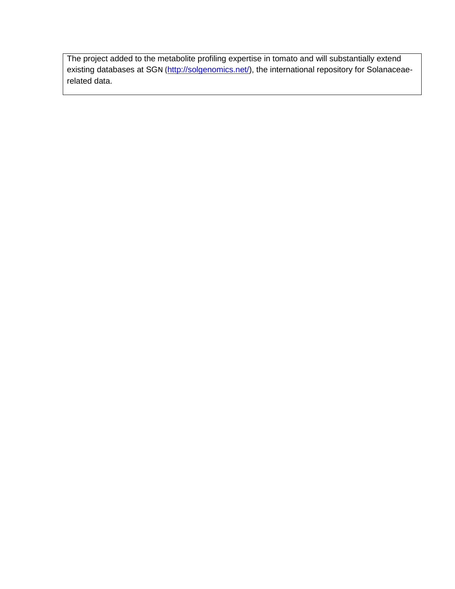The project added to the metabolite profiling expertise in tomato and will substantially extend existing databases at SGN ([http://solgenomics.net/\)](http://solgenomics.net/), the international repository for Solanaceaerelated data.